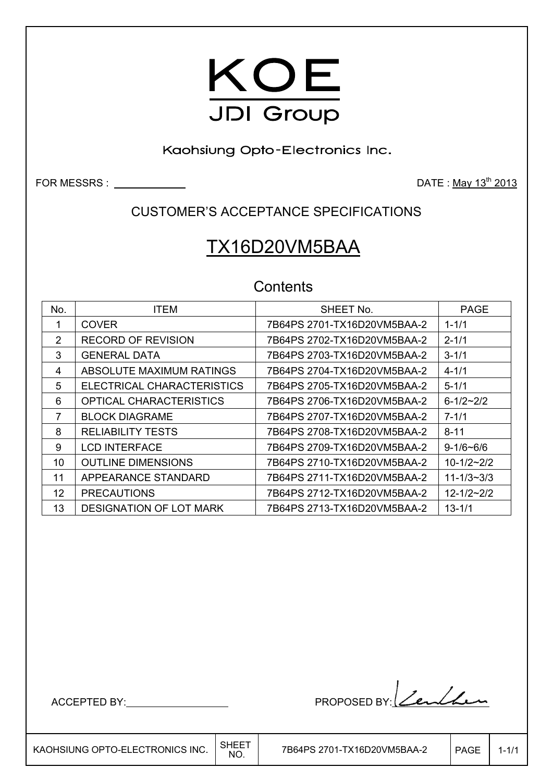

Kaohsiung Opto-Electronics Inc.

FOR MESSRS : DATE : May 13th 2013

CUSTOMER'S ACCEPTANCE SPECIFICATIONS

# TX16D20VM5BAA

### **Contents**

| No. | <b>ITEM</b>                    | SHEET No.                   | <b>PAGE</b>        |
|-----|--------------------------------|-----------------------------|--------------------|
| 1   | <b>COVER</b>                   | 7B64PS 2701-TX16D20VM5BAA-2 | $1 - 1/1$          |
| 2   | <b>RECORD OF REVISION</b>      | 7B64PS 2702-TX16D20VM5BAA-2 | $2 - 1/1$          |
| 3   | <b>GENERAL DATA</b>            | 7B64PS 2703-TX16D20VM5BAA-2 | $3 - 1/1$          |
| 4   | ABSOLUTE MAXIMUM RATINGS       | 7B64PS 2704-TX16D20VM5BAA-2 | $4 - 1/1$          |
| 5   | ELECTRICAL CHARACTERISTICS     | 7B64PS 2705-TX16D20VM5BAA-2 | $5 - 1/1$          |
| 6   | OPTICAL CHARACTERISTICS        |                             | $6 - 1/2 \sim 2/2$ |
| 7   | <b>BLOCK DIAGRAME</b>          | 7B64PS 2707-TX16D20VM5BAA-2 | $7 - 1/1$          |
| 8   | <b>RELIABILITY TESTS</b>       | 7B64PS 2708-TX16D20VM5BAA-2 | $8 - 11$           |
| 9   | <b>LCD INTERFACE</b>           |                             | $9 - 1/6 - 6/6$    |
| 10  | <b>OUTLINE DIMENSIONS</b>      |                             | $10 - 1/2 - 2/2$   |
| 11  | APPEARANCE STANDARD            | 7B64PS 2711-TX16D20VM5BAA-2 | $11 - 1/3 - 3/3$   |
| 12  | <b>PRECAUTIONS</b>             |                             | $12 - 1/2 - 2/2$   |
| 13  | <b>DESIGNATION OF LOT MARK</b> | 7B64PS 2713-TX16D20VM5BAA-2 | $13 - 1/1$         |

 $\overline{\phantom{a}}$ 

ACCEPTED BY: NOCEPTED BY: 2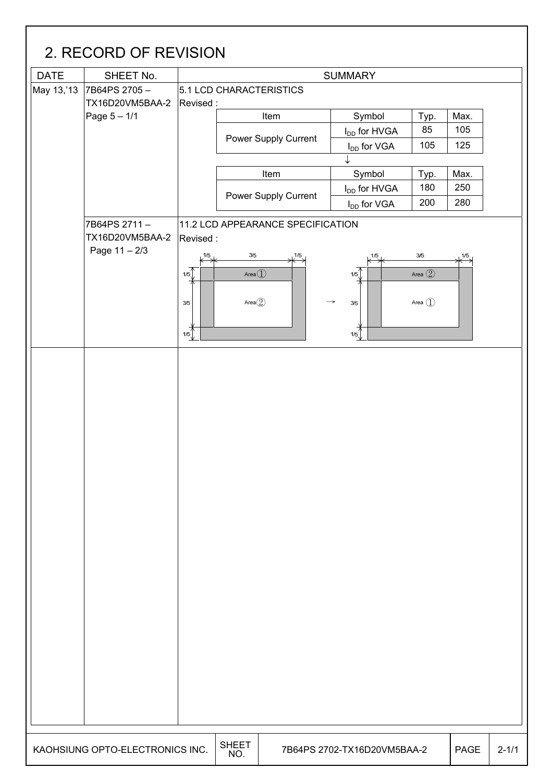| <b>DATE</b> | SHEET No.                       | <b>SUMMARY</b>         |                                   |                          |                                 |      |  |  |  |
|-------------|---------------------------------|------------------------|-----------------------------------|--------------------------|---------------------------------|------|--|--|--|
| May 13,'13  | 7B64PS 2705-                    |                        | 5.1 LCD CHARACTERISTICS           |                          |                                 |      |  |  |  |
|             | TX16D20VM5BAA-2                 | Revised:               |                                   |                          |                                 |      |  |  |  |
|             | Page 5 - 1/1                    |                        | Item                              | Symbol                   | Typ.                            | Max. |  |  |  |
|             |                                 |                        | Power Supply Current              | I <sub>DD</sub> for HVGA | 85                              | 105  |  |  |  |
|             |                                 |                        |                                   | $I_{DD}$ for VGA         | 105                             | 125  |  |  |  |
|             |                                 |                        | Item                              | Symbol                   | Typ.                            | Max. |  |  |  |
|             |                                 |                        |                                   | I <sub>DD</sub> for HVGA | 180                             | 250  |  |  |  |
|             |                                 |                        | Power Supply Current              | I <sub>DD</sub> for VGA  | 200                             | 280  |  |  |  |
|             |                                 |                        |                                   |                          |                                 |      |  |  |  |
|             | 7B64PS 2711-<br>TX16D20VM5BAA-2 | Revised:               | 11.2 LCD APPEARANCE SPECIFICATION |                          |                                 |      |  |  |  |
|             | Page 11 - 2/3                   |                        | $3/5$<br>1/5                      |                          |                                 |      |  |  |  |
|             |                                 | 1/5                    |                                   | 1/5                      | 3/5                             | 1/5  |  |  |  |
|             |                                 | 1/5                    | Area $\textcircled{\small{1}}$    | 1/5                      | Area $\circled{2}$              |      |  |  |  |
|             |                                 | 3/5                    | Area $(2)$                        | $\rightarrow$<br>3/5     | Area $\left(\widehat{1}\right)$ |      |  |  |  |
|             |                                 |                        |                                   |                          |                                 |      |  |  |  |
|             |                                 | $rac{\cancel{+}}{1/5}$ |                                   | 1/5                      |                                 |      |  |  |  |
|             |                                 |                        |                                   |                          |                                 |      |  |  |  |
|             |                                 |                        |                                   |                          |                                 |      |  |  |  |
|             |                                 |                        |                                   |                          |                                 |      |  |  |  |
|             |                                 |                        |                                   |                          |                                 |      |  |  |  |
|             |                                 |                        |                                   |                          |                                 |      |  |  |  |
|             |                                 |                        |                                   |                          |                                 |      |  |  |  |
|             |                                 |                        |                                   |                          |                                 |      |  |  |  |
|             |                                 |                        |                                   |                          |                                 |      |  |  |  |
|             |                                 |                        |                                   |                          |                                 |      |  |  |  |
|             |                                 |                        |                                   |                          |                                 |      |  |  |  |
|             |                                 |                        |                                   |                          |                                 |      |  |  |  |
|             |                                 |                        |                                   |                          |                                 |      |  |  |  |
|             |                                 |                        |                                   |                          |                                 |      |  |  |  |
|             |                                 |                        |                                   |                          |                                 |      |  |  |  |
|             |                                 |                        |                                   |                          |                                 |      |  |  |  |
|             |                                 |                        |                                   |                          |                                 |      |  |  |  |
|             |                                 |                        |                                   |                          |                                 |      |  |  |  |
|             |                                 |                        |                                   |                          |                                 |      |  |  |  |
|             |                                 |                        |                                   |                          |                                 |      |  |  |  |
|             |                                 |                        |                                   |                          |                                 |      |  |  |  |
|             |                                 |                        |                                   |                          |                                 |      |  |  |  |
|             |                                 |                        |                                   |                          |                                 |      |  |  |  |
|             |                                 |                        |                                   |                          |                                 |      |  |  |  |
|             |                                 |                        |                                   |                          |                                 |      |  |  |  |
|             |                                 |                        |                                   |                          |                                 |      |  |  |  |
|             |                                 |                        |                                   |                          |                                 |      |  |  |  |
|             |                                 |                        |                                   |                          |                                 |      |  |  |  |
|             |                                 |                        |                                   |                          |                                 |      |  |  |  |
|             |                                 |                        |                                   |                          |                                 |      |  |  |  |
|             |                                 |                        | <b>SHEET</b>                      |                          |                                 |      |  |  |  |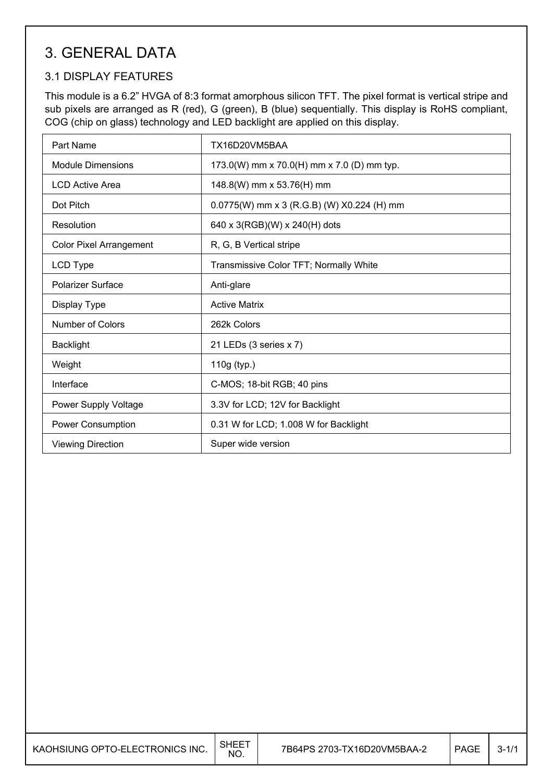### 3. GENERAL DATA

### 3.1 DISPLAY FEATURES

This module is a 6.2" HVGA of 8:3 format amorphous silicon TFT. The pixel format is vertical stripe and sub pixels are arranged as R (red), G (green), B (blue) sequentially. This display is RoHS compliant, COG (chip on glass) technology and LED backlight are applied on this display.

| Part Name                      | TX16D20VM5BAA                              |
|--------------------------------|--------------------------------------------|
| <b>Module Dimensions</b>       | 173.0(W) mm x 70.0(H) mm x 7.0 (D) mm typ. |
| <b>LCD Active Area</b>         | 148.8(W) mm x 53.76(H) mm                  |
| Dot Pitch                      | 0.0775(W) mm x 3 (R.G.B) (W) X0.224 (H) mm |
| Resolution                     | 640 x 3(RGB)(W) x 240(H) dots              |
| <b>Color Pixel Arrangement</b> | R, G, B Vertical stripe                    |
| LCD Type                       | Transmissive Color TFT; Normally White     |
| <b>Polarizer Surface</b>       | Anti-glare                                 |
| Display Type                   | <b>Active Matrix</b>                       |
| <b>Number of Colors</b>        | 262k Colors                                |
| <b>Backlight</b>               | 21 LEDs (3 series x 7)                     |
| Weight                         | 110g (typ.)                                |
| Interface                      | C-MOS; 18-bit RGB; 40 pins                 |
| Power Supply Voltage           | 3.3V for LCD; 12V for Backlight            |
| Power Consumption              | 0.31 W for LCD; 1.008 W for Backlight      |
| <b>Viewing Direction</b>       | Super wide version                         |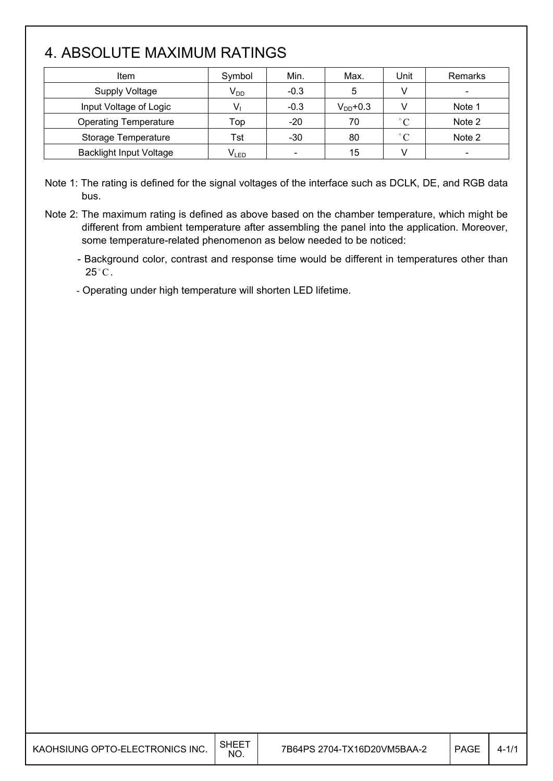## 4. ABSOLUTE MAXIMUM RATINGS

| <b>Item</b>                    | Symbol    | Min.                         | Max.          | Unit        | Remarks                  |
|--------------------------------|-----------|------------------------------|---------------|-------------|--------------------------|
| <b>Supply Voltage</b>          | $V_{DD}$  | $-0.3$                       | 5             |             | $\overline{\phantom{a}}$ |
| Input Voltage of Logic         |           | $-0.3$                       | $V_{DD}$ +0.3 |             | Note 1                   |
| <b>Operating Temperature</b>   | Top       | $-20$                        | 70            | $\degree$ C | Note 2                   |
| Storage Temperature            | Tst       | $-30$                        | 80            | $\degree$ C | Note 2                   |
| <b>Backlight Input Voltage</b> | $V_{LED}$ | $\qquad \qquad \blacksquare$ | 15            |             | -                        |

Note 1: The rating is defined for the signal voltages of the interface such as DCLK, DE, and RGB data bus.

Note 2: The maximum rating is defined as above based on the chamber temperature, which might be different from ambient temperature after assembling the panel into the application. Moreover, some temperature-related phenomenon as below needed to be noticed:

- Background color, contrast and response time would be different in temperatures other than  $25^{\circ}$ C.

- Operating under high temperature will shorten LED lifetime.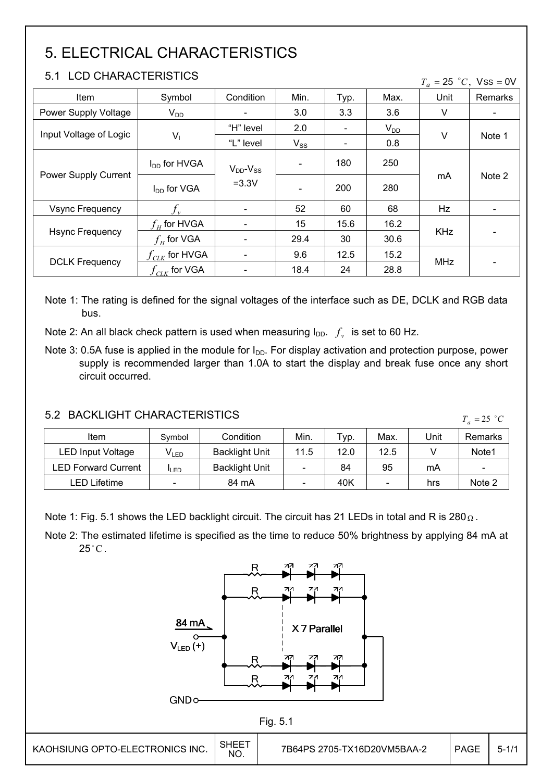## 5. ELECTRICAL CHARACTERISTICS

#### 5.1 LCD CHARACTERISTICS

|  |  | $T_a = 25$ °C, Vss = 0V |
|--|--|-------------------------|
|--|--|-------------------------|

| Item                   | Symbol             | Condition                | Min.     | Typ. | Max.     | $\boldsymbol{u}$<br>Unit | Remarks |
|------------------------|--------------------|--------------------------|----------|------|----------|--------------------------|---------|
| Power Supply Voltage   | $V_{DD}$           | $\overline{\phantom{a}}$ | 3.0      | 3.3  | 3.6      | V                        |         |
| Input Voltage of Logic |                    | "H" level                | 2.0      |      | $V_{DD}$ | V                        |         |
|                        | $V_1$              | "L" level                | $V_{SS}$ |      | 0.8      |                          | Note 1  |
|                        | $I_{DD}$ for HVGA  | $V_{DD}$ - $V_{SS}$      |          | 180  | 250      |                          |         |
| Power Supply Current   | $I_{DD}$ for VGA   | $=3.3V$                  |          | 200  | 280      | mA                       | Note 2  |
| <b>Vsync Frequency</b> |                    | $\blacksquare$           | 52       | 60   | 68       | Hz                       |         |
|                        | $f_{\mu}$ for HVGA | $\overline{\phantom{a}}$ | 15       | 15.6 | 16.2     |                          |         |
| <b>Hsync Frequency</b> | $f_{\mu}$ for VGA  | $\overline{\phantom{a}}$ | 29.4     | 30   | 30.6     | <b>KHz</b>               |         |
|                        | $f_{CLK}$ for HVGA | $\overline{\phantom{a}}$ | 9.6      | 12.5 | 15.2     |                          |         |
| <b>DCLK Frequency</b>  | $f_{CLK}$ for VGA  | $\overline{\phantom{a}}$ | 18.4     | 24   | 28.8     | MHz                      |         |

Note 1: The rating is defined for the signal voltages of the interface such as DE, DCLK and RGB data bus.

Note 2: An all black check pattern is used when measuring  $I_{DD}$ .  $f_v$  is set to 60 Hz.

Note 3: 0.5A fuse is applied in the module for  $I_{DD}$ . For display activation and protection purpose, power supply is recommended larger than 1.0A to start the display and break fuse once any short circuit occurred.

#### 5.2 BACKLIGHT CHARACTERISTICS

| Item                       | Symbol           | Condition             | Min. | Typ. | Max. | Unit | Remarks                  |
|----------------------------|------------------|-----------------------|------|------|------|------|--------------------------|
| LED Input Voltage          | V <sub>led</sub> | <b>Backlight Unit</b> | 11.5 | 12.0 | 12.5 |      | Note1                    |
| <b>LED Forward Current</b> | <b>I</b> LED     | <b>Backlight Unit</b> |      | 84   | 95   | mA   | $\overline{\phantom{a}}$ |
| LED Lifetime               |                  | 84 mA                 |      | 40K  |      | hrs  | Note 2                   |

Note 1: Fig. 5.1 shows the LED backlight circuit. The circuit has 21 LEDs in total and R is 280 $\Omega$ .

Note 2: The estimated lifetime is specified as the time to reduce 50% brightness by applying 84 mA at  $25^{\circ}$ C.



 $T_a = 25$  °C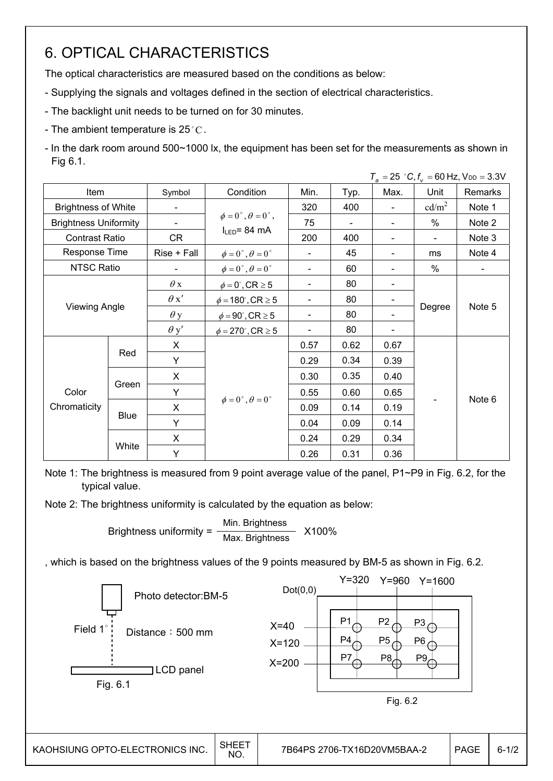### 6. OPTICAL CHARACTERISTICS

The optical characteristics are measured based on the conditions as below:

- Supplying the signals and voltages defined in the section of electrical characteristics.
- The backlight unit needs to be turned on for 30 minutes.
- The ambient temperature is 25 °C.
- In the dark room around 500~1000 lx, the equipment has been set for the measurements as shown in Fig 6.1.

|                              |             |             |                                         |                              |      |      |                   | $T_a = 25$ °C, $f_v = 60$ Hz, $V_{DD} = 3.3$ V |
|------------------------------|-------------|-------------|-----------------------------------------|------------------------------|------|------|-------------------|------------------------------------------------|
| <b>Item</b>                  |             | Symbol      | Condition                               | Min.                         | Typ. | Max. | Unit              | Remarks                                        |
| <b>Brightness of White</b>   |             |             |                                         | 320                          | 400  |      | cd/m <sup>2</sup> | Note 1                                         |
| <b>Brightness Uniformity</b> |             |             | $\phi = 0^{\circ}, \theta = 0^{\circ},$ | 75                           |      |      | $\frac{0}{0}$     | Note 2                                         |
| <b>Contrast Ratio</b>        |             | CR          | $I_{LED}$ = 84 mA                       | 200                          | 400  |      |                   | Note 3                                         |
| Response Time                |             | Rise + Fall | $\phi = 0^{\circ}, \theta = 0^{\circ}$  |                              | 45   |      | ms                | Note 4                                         |
| NTSC Ratio                   |             |             | $\phi = 0^{\circ}, \theta = 0^{\circ}$  | $\overline{\phantom{0}}$     | 60   |      | $\%$              | $\blacksquare$                                 |
|                              |             | $\theta$ x  | $\phi = 0^\circ$ , CR $\geq 5$          | $\qquad \qquad \blacksquare$ | 80   |      |                   |                                                |
|                              |             | $\theta x'$ | $\phi = 180^\circ$ , CR $\geq 5$        | $\overline{\phantom{0}}$     | 80   |      |                   |                                                |
| <b>Viewing Angle</b>         |             | $\theta$ y  | $\phi = 90^{\circ}$ , CR $\geq 5$       | $\overline{\phantom{0}}$     | 80   |      | Degree            | Note 5                                         |
|                              |             | $\theta$ y' | $\phi = 270^{\circ}$ , CR $\geq 5$      |                              | 80   |      |                   |                                                |
|                              |             | X           |                                         | 0.57                         | 0.62 | 0.67 |                   |                                                |
|                              | Red         | Y           |                                         | 0.29                         | 0.34 | 0.39 |                   |                                                |
|                              |             | X           |                                         | 0.30                         | 0.35 | 0.40 |                   |                                                |
| Color                        | Green       | Y           |                                         | 0.55                         | 0.60 | 0.65 |                   |                                                |
| Chromaticity                 |             | X           | $\phi = 0^{\circ}, \theta = 0^{\circ}$  | 0.09                         | 0.14 | 0.19 |                   | Note 6                                         |
|                              | <b>Blue</b> | Y           |                                         | 0.04                         | 0.09 | 0.14 |                   |                                                |
|                              |             | X.          |                                         | 0.24                         | 0.29 | 0.34 |                   |                                                |
|                              | White       | Y           |                                         | 0.26                         | 0.31 | 0.36 |                   |                                                |

Note 1: The brightness is measured from 9 point average value of the panel, P1~P9 in Fig. 6.2, for the typical value.

Note 2: The brightness uniformity is calculated by the equation as below:

Brightness uniformity =  $\frac{\text{Min.}_{\text{Br}}}{\text{Min.}_{\text{B}}}\$  X100% Max. Brightness

, which is based on the brightness values of the 9 points measured by BM-5 as shown in Fig. 6.2.

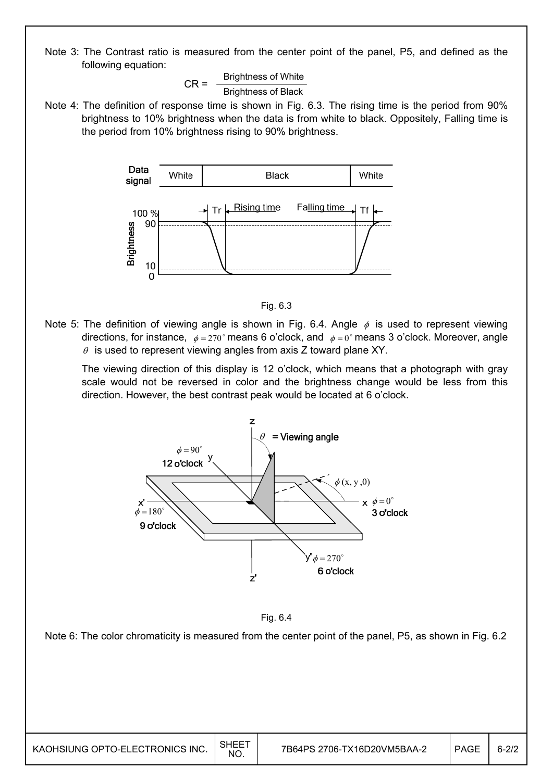Note 3: The Contrast ratio is measured from the center point of the panel, P5, and defined as the following equation:

> $CR =$  Brightness of White Brightness of Black

Note 4: The definition of response time is shown in Fig. 6.3. The rising time is the period from 90% brightness to 10% brightness when the data is from white to black. Oppositely, Falling time is the period from 10% brightness rising to 90% brightness.





Note 5: The definition of viewing angle is shown in Fig. 6.4. Angle  $\phi$  is used to represent viewing directions, for instance,  $\phi = 270^\circ$  means 6 o'clock, and  $\phi = 0^\circ$  means 3 o'clock. Moreover, angle  $\theta$  is used to represent viewing angles from axis Z toward plane XY.

 The viewing direction of this display is 12 o'clock, which means that a photograph with gray scale would not be reversed in color and the brightness change would be less from this direction. However, the best contrast peak would be located at 6 o'clock.





Note 6: The color chromaticity is measured from the center point of the panel, P5, as shown in Fig. 6.2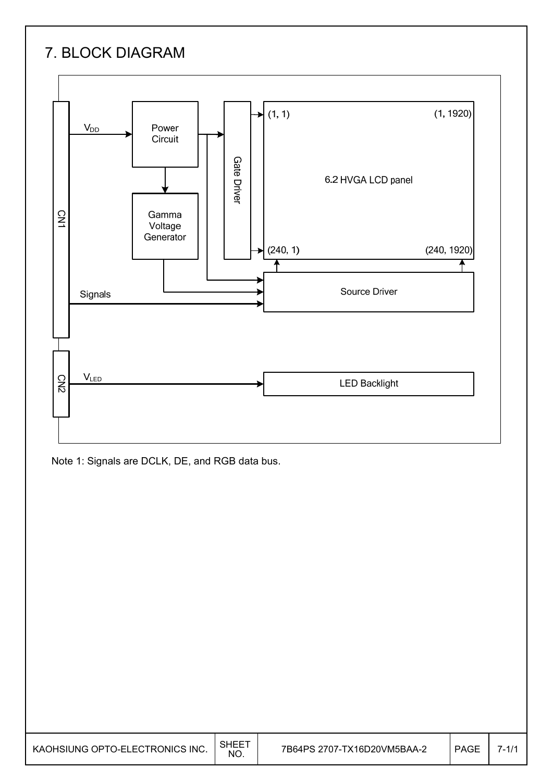## 7. BLOCK DIAGRAM



Note 1: Signals are DCLK, DE, and RGB data bus.

| KAOHSIUNG OPTO-ELECTRONICS INC. | SHEE <sup>-</sup><br>NO. | 7B64PS 2707-TX16D20VM5BAA-2 | <b>PAGE</b> | $7 - 1/1$ |
|---------------------------------|--------------------------|-----------------------------|-------------|-----------|
|---------------------------------|--------------------------|-----------------------------|-------------|-----------|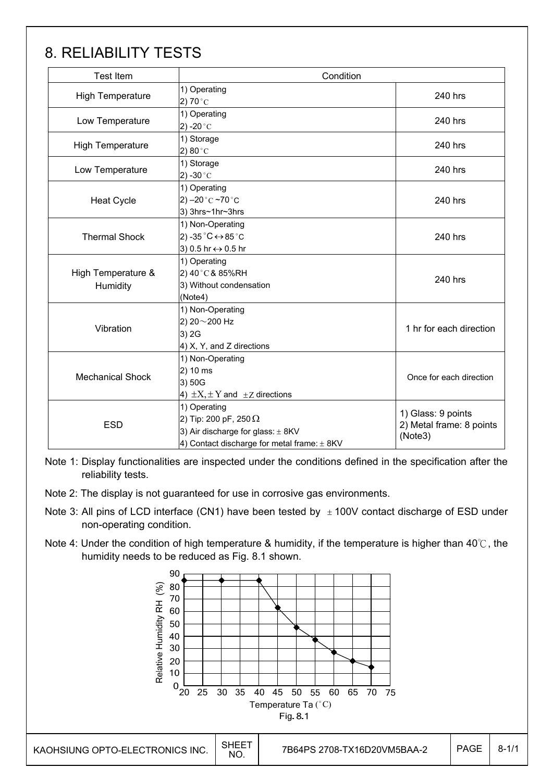### 8. RELIABILITY TESTS

Γ

| <b>Test Item</b>               | Condition                                                                                                                            |                                                           |  |  |  |  |
|--------------------------------|--------------------------------------------------------------------------------------------------------------------------------------|-----------------------------------------------------------|--|--|--|--|
| <b>High Temperature</b>        | 1) Operating<br>2) 70 $^{\circ}$ C                                                                                                   | 240 hrs                                                   |  |  |  |  |
| Low Temperature                | 1) Operating<br>2) -20 $^{\circ}$ C                                                                                                  | 240 hrs                                                   |  |  |  |  |
| <b>High Temperature</b>        | 1) Storage<br>2) 80 $^{\circ}$ C                                                                                                     | 240 hrs                                                   |  |  |  |  |
| Low Temperature                | 1) Storage<br>2) -30 $^{\circ}$ C                                                                                                    | 240 hrs                                                   |  |  |  |  |
| <b>Heat Cycle</b>              | 1) Operating<br>2) $-20$ °C $-70$ °C<br>3) 3hrs~1hr~3hrs                                                                             | 240 hrs                                                   |  |  |  |  |
| <b>Thermal Shock</b>           | 1) Non-Operating<br>2) -35 $^{\circ}$ C ↔ 85 $^{\circ}$ C<br>3) 0.5 hr ↔ 0.5 hr                                                      | 240 hrs                                                   |  |  |  |  |
| High Temperature &<br>Humidity | 1) Operating<br>2) 40°C& 85%RH<br>3) Without condensation<br>(Note4)                                                                 | 240 hrs                                                   |  |  |  |  |
| Vibration                      | 1) Non-Operating<br>2) 20~200 Hz<br>3) 2G<br>$(4)$ X, Y, and Z directions                                                            | 1 hr for each direction                                   |  |  |  |  |
| <b>Mechanical Shock</b>        | 1) Non-Operating<br>2) 10 ms<br>3) 50G<br>4) $\pm X, \pm Y$ and $\pm Z$ directions                                                   | Once for each direction                                   |  |  |  |  |
| <b>ESD</b>                     | 1) Operating<br>2) Tip: 200 pF, 250 $\Omega$<br>3) Air discharge for glass: ± 8KV<br>4) Contact discharge for metal frame: $\pm$ 8KV | 1) Glass: 9 points<br>2) Metal frame: 8 points<br>(Note3) |  |  |  |  |

Note 1: Display functionalities are inspected under the conditions defined in the specification after the reliability tests.

Note 2: The display is not guaranteed for use in corrosive gas environments.

- Note 3: All pins of LCD interface (CN1) have been tested by  $\pm$  100V contact discharge of ESD under non-operating condition.
- Note 4: Under the condition of high temperature & humidity, if the temperature is higher than 40 $\degree$ C, the humidity needs to be reduced as Fig. 8.1 shown.

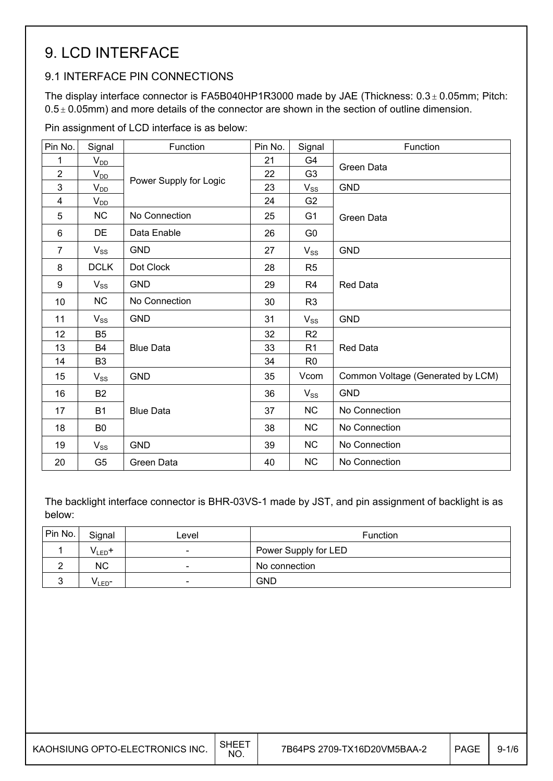### 9. LCD INTERFACE

#### 9.1 INTERFACE PIN CONNECTIONS

The display interface connector is FA5B040HP1R3000 made by JAE (Thickness:  $0.3 \pm 0.05$ mm; Pitch:  $0.5 \pm 0.05$ mm) and more details of the connector are shown in the section of outline dimension.

Pin assignment of LCD interface is as below:

| Pin No.        | Signal         | Function               | Pin No. | Signal         | Function                          |
|----------------|----------------|------------------------|---------|----------------|-----------------------------------|
| 1              | $V_{DD}$       |                        | 21      | G4             |                                   |
| $\overline{2}$ | $V_{DD}$       |                        | 22      | G <sub>3</sub> | Green Data                        |
| 3              | $V_{DD}$       | Power Supply for Logic | 23      | $V_{SS}$       | <b>GND</b>                        |
| 4              | $V_{DD}$       |                        | 24      | G <sub>2</sub> |                                   |
| 5              | <b>NC</b>      | No Connection          | 25      | G <sub>1</sub> | Green Data                        |
| 6              | <b>DE</b>      | Data Enable            | 26      | G <sub>0</sub> |                                   |
| $\overline{7}$ | $V_{SS}$       | <b>GND</b>             | 27      | $V_{SS}$       | <b>GND</b>                        |
| 8              | <b>DCLK</b>    | Dot Clock              | 28      | R <sub>5</sub> |                                   |
| 9              | $V_{SS}$       | <b>GND</b>             | 29      | R <sub>4</sub> | <b>Red Data</b>                   |
| 10             | <b>NC</b>      | No Connection          | 30      | R <sub>3</sub> |                                   |
| 11             | $V_{SS}$       | <b>GND</b>             | 31      | $V_{SS}$       | <b>GND</b>                        |
| 12             | <b>B5</b>      |                        | 32      | R <sub>2</sub> |                                   |
| 13             | <b>B4</b>      | <b>Blue Data</b>       | 33      | R <sub>1</sub> | <b>Red Data</b>                   |
| 14             | B <sub>3</sub> |                        | 34      | R <sub>0</sub> |                                   |
| 15             | $V_{SS}$       | <b>GND</b>             | 35      | Vcom           | Common Voltage (Generated by LCM) |
| 16             | <b>B2</b>      |                        | 36      | $V_{SS}$       | <b>GND</b>                        |
| 17             | <b>B1</b>      | <b>Blue Data</b>       | 37      | <b>NC</b>      | No Connection                     |
| 18             | B <sub>0</sub> |                        | 38      | NC             | No Connection                     |
| 19             | $V_{SS}$       | <b>GND</b>             | 39      | <b>NC</b>      | No Connection                     |
| 20             | G <sub>5</sub> | Green Data             | 40      | <b>NC</b>      | No Connection                     |

The backlight interface connector is BHR-03VS-1 made by JST, and pin assignment of backlight is as below:

| Pin No. | Signal             | Level                    | <b>Function</b>      |
|---------|--------------------|--------------------------|----------------------|
|         | V <sub>LED</sub> + | $\overline{\phantom{0}}$ | Power Supply for LED |
|         | ΝC                 | -                        | No connection        |
| ັ       | V LED-             | -                        | <b>GND</b>           |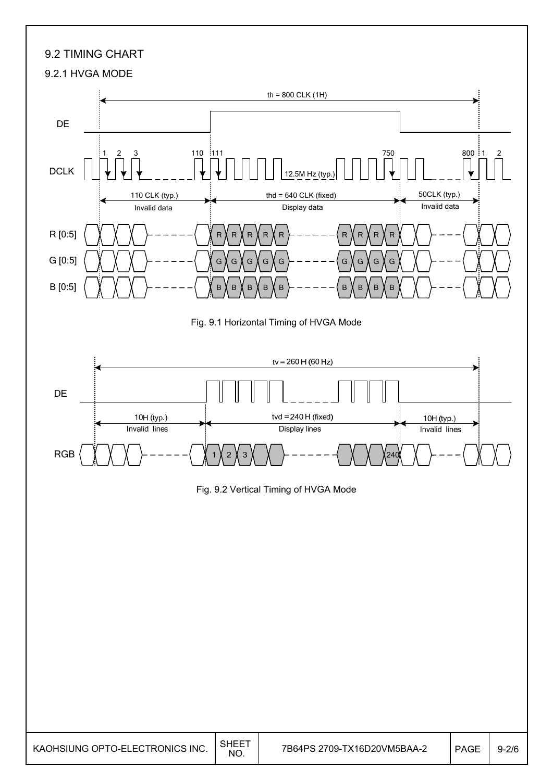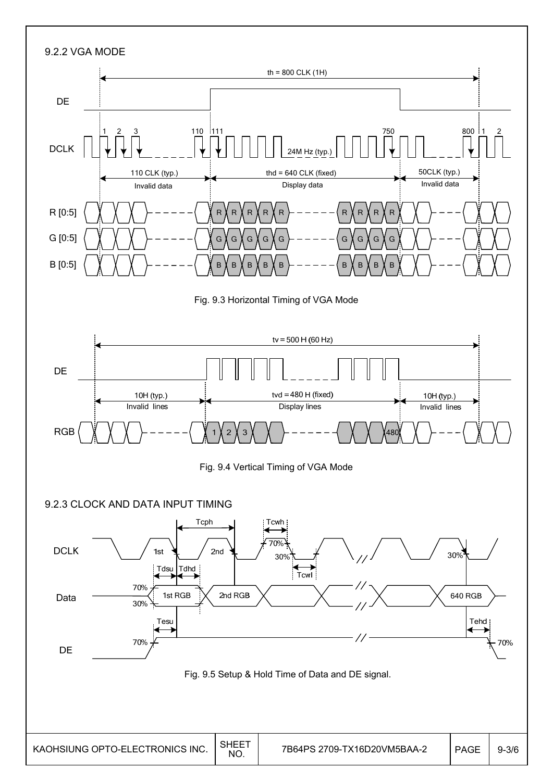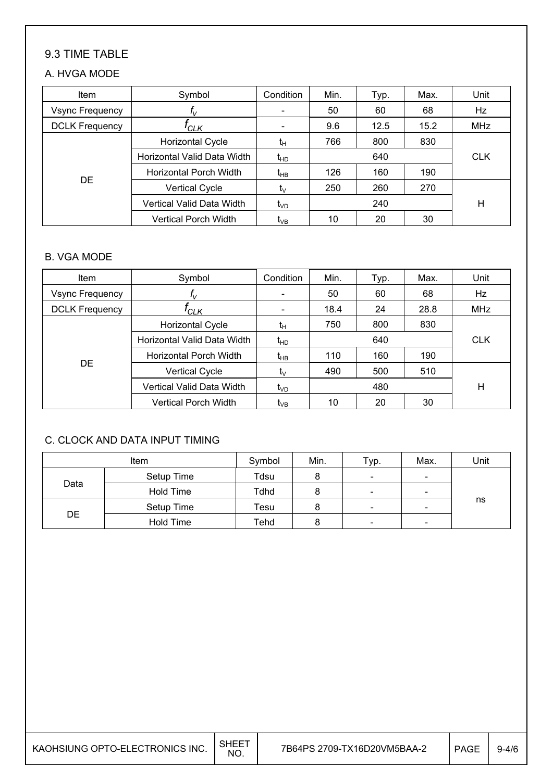#### 9.3 TIME TABLE

#### A. HVGA MODE

| Item                   | Symbol                        | Condition       | Min. | Typ.       | Max. | Unit       |
|------------------------|-------------------------------|-----------------|------|------------|------|------------|
| <b>Vsync Frequency</b> | $f_{\rm V}$                   |                 | 50   | 60         | 68   | Hz         |
| <b>DCLK Frequency</b>  | <sup>I</sup> CLK              |                 | 9.6  | 12.5       | 15.2 | <b>MHz</b> |
|                        | <b>Horizontal Cycle</b>       | tн              | 766  | 800        | 830  |            |
|                        | Horizontal Valid Data Width   | $t_{HD}$        |      | <b>CLK</b> |      |            |
|                        | <b>Horizontal Porch Width</b> | $t_{HB}$        | 126  | 160        | 190  |            |
| DE                     | <b>Vertical Cycle</b>         | tv              | 250  | 260        | 270  |            |
|                        | Vertical Valid Data Width     | t <sub>VD</sub> | 240  |            |      | Н          |
|                        | Vertical Porch Width          | t <sub>∨B</sub> | 10   | 20         | 30   |            |

#### B. VGA MODE

| Item                  | Symbol                        | Condition                | Min. | Typ.       | Max. | Unit |
|-----------------------|-------------------------------|--------------------------|------|------------|------|------|
| Vsync Frequency       | $T_{\rm V}$                   | $\overline{\phantom{a}}$ | 50   | 60         | 68   | Hz   |
| <b>DCLK Frequency</b> | 'CLK                          | $\overline{\phantom{a}}$ | 18.4 | 24         | 28.8 | MHz  |
|                       | <b>Horizontal Cycle</b>       | tн                       | 750  | 800        | 830  |      |
|                       | Horizontal Valid Data Width   | $t_{HD}$                 |      | <b>CLK</b> |      |      |
|                       | <b>Horizontal Porch Width</b> | $t_{HB}$                 | 110  | 160        | 190  |      |
| <b>DE</b>             | <b>Vertical Cycle</b>         | $t_{\vee}$               | 490  | 500        | 510  |      |
|                       | Vertical Valid Data Width     | $t_{\lor D}$             | 480  |            |      | Н    |
|                       | <b>Vertical Porch Width</b>   | t <sub>∨B</sub>          | 10   | 20         | 30   |      |

#### C. CLOCK AND DATA INPUT TIMING

| <b>Item</b> |            | Symbol | Min. | Тур.                     | Max. | Unit |
|-------------|------------|--------|------|--------------------------|------|------|
|             | Setup Time | Tdsu   |      | $\overline{\phantom{a}}$ | -    |      |
| Data        | Hold Time  | Tdhd   |      | $\overline{\phantom{a}}$ | -    |      |
|             | Setup Time | Tesu   |      | $\overline{\phantom{a}}$ | -    | ns   |
| DE          | Hold Time  | Tehd   |      | $\overline{\phantom{a}}$ | -    |      |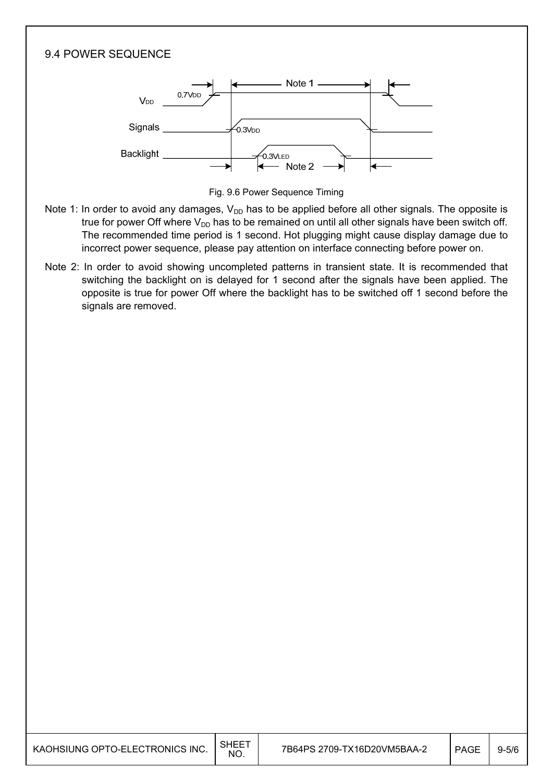

Fig. 9.6 Power Sequence Timing

- Note 1: In order to avoid any damages,  $V_{DD}$  has to be applied before all other signals. The opposite is true for power Off where  $V_{DD}$  has to be remained on until all other signals have been switch off. The recommended time period is 1 second. Hot plugging might cause display damage due to incorrect power sequence, please pay attention on interface connecting before power on.
- Note 2: In order to avoid showing uncompleted patterns in transient state. It is recommended that switching the backlight on is delayed for 1 second after the signals have been applied. The opposite is true for power Off where the backlight has to be switched off 1 second before the signals are removed.

| KAOHSIUNG OPTO-ELECTRONICS INC. | $\overline{\phantom{a}}$ SHEET<br>NO. | 7B64PS 2709-TX16D20VM5BAA-2 | <b>PAGE</b> | $9 - 5/6$ |
|---------------------------------|---------------------------------------|-----------------------------|-------------|-----------|
|                                 |                                       |                             |             |           |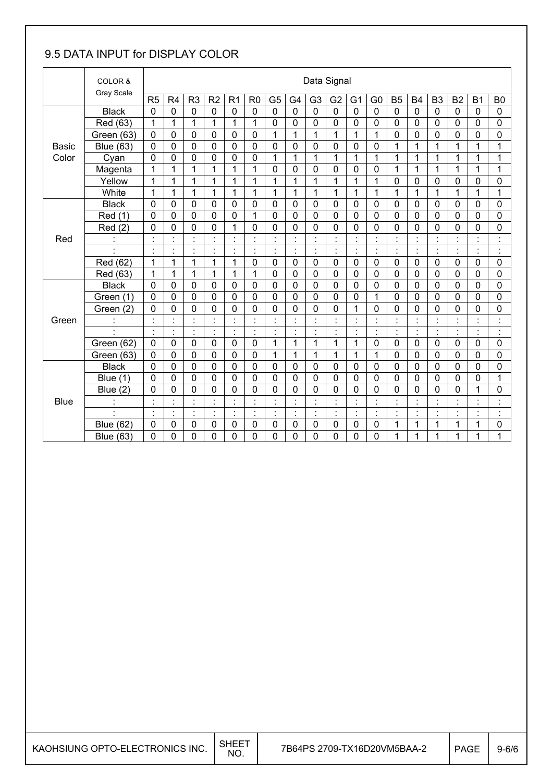### 9.5 DATA INPUT for DISPLAY COLOR

|              | COLOR &          |                |                      |                                |                |                      |                      |                              |                                | Data Signal          |                      |                |                                        |                                                  |                |                |                |                |                      |
|--------------|------------------|----------------|----------------------|--------------------------------|----------------|----------------------|----------------------|------------------------------|--------------------------------|----------------------|----------------------|----------------|----------------------------------------|--------------------------------------------------|----------------|----------------|----------------|----------------|----------------------|
|              | Gray Scale       | R <sub>5</sub> | R <sub>4</sub>       | R <sub>3</sub>                 | R <sub>2</sub> | R <sub>1</sub>       | R <sub>0</sub>       | G <sub>5</sub>               | G4                             | G <sub>3</sub>       | G <sub>2</sub>       | G <sub>1</sub> | G <sub>0</sub>                         | <b>B5</b>                                        | <b>B4</b>      | B <sub>3</sub> | B <sub>2</sub> | <b>B1</b>      | B <sub>0</sub>       |
|              | <b>Black</b>     | $\mathbf 0$    | 0                    | 0                              | $\mathbf 0$    | $\mathbf 0$          | $\mathbf 0$          | $\mathbf 0$                  | $\overline{0}$                 | $\overline{0}$       | $\overline{0}$       | $\mathbf 0$    | $\mathbf 0$                            | $\mathbf 0$                                      | $\overline{0}$ | $\mathbf 0$    | $\overline{0}$ | $\overline{0}$ | $\mathbf 0$          |
|              | Red (63)         | 1              | 1                    | 1                              | 1              | 1                    | 1                    | 0                            | $\mathbf 0$                    | 0                    | 0                    | 0              | 0                                      | $\mathbf 0$                                      | $\mathbf 0$    | $\mathbf 0$    | 0              | 0              | 0                    |
|              | Green (63)       | $\mathbf 0$    | $\mathbf 0$          | $\mathbf 0$                    | $\mathbf 0$    | $\mathbf 0$          | $\mathbf 0$          | $\mathbf{1}$                 | 1                              | 1                    | $\mathbf{1}$         | 1              | 1                                      | $\mathbf 0$                                      | 0              | $\mathbf 0$    | $\mathbf 0$    | 0              | 0                    |
| <b>Basic</b> | <b>Blue (63)</b> | 0              | 0                    | 0                              | $\mathbf 0$    | $\mathbf 0$          | $\mathbf 0$          | $\mathbf 0$                  | $\mathbf 0$                    | 0                    | 0                    | $\mathbf 0$    | 0                                      | 1                                                | 1              | 1              | 1              | 1              | 1                    |
| Color        | Cyan             | $\mathbf 0$    | 0                    | 0                              | $\mathbf 0$    | 0                    | $\mathbf 0$          | 1                            | 1                              | 1                    | 1                    | 1              | 1                                      | 1                                                | 1              | 1              | $\mathbf 1$    | 1              | 1                    |
|              | Magenta          | 1              | 1                    | 1                              | 1              | 1                    | 1                    | $\mathbf 0$                  | $\mathbf 0$                    | 0                    | 0                    | 0              | 0                                      | 1                                                | 1              | 1              | 1              | 1              | 1                    |
|              | Yellow           | 1              | 1                    | 1                              | 1              | $\mathbf{1}$         | 1                    | $\mathbf 1$                  | $\mathbf{1}$                   | 1                    | 1                    | $\mathbf{1}$   | $\mathbf{1}$                           | $\mathbf 0$                                      | 0              | $\mathbf 0$    | $\overline{0}$ | 0              | 0                    |
|              | White            | 1              | 1                    | 1                              | 1              | 1                    | 1                    | 1                            | 1                              | 1                    | 1                    | 1              | 1                                      | 1                                                | 1              | 1              | 1              | 1              | 1                    |
|              | <b>Black</b>     | $\mathbf 0$    | 0                    | 0                              | $\mathbf 0$    | $\mathbf 0$          | $\mathbf 0$          | $\mathbf 0$                  | $\overline{0}$                 | 0                    | 0                    | 0              | $\mathbf 0$                            | $\mathbf 0$                                      | $\mathbf 0$    | $\mathbf 0$    | $\overline{0}$ | 0              | 0                    |
|              | Red (1)          | $\mathbf 0$    | $\mathbf 0$          | $\mathbf 0$                    | $\mathbf 0$    | $\mathbf 0$          | 1                    | $\overline{0}$               | $\mathbf 0$                    | 0                    | $\mathbf 0$          | $\mathbf 0$    | $\overline{0}$                         | $\mathbf 0$                                      | $\overline{0}$ | $\mathbf 0$    | $\overline{0}$ | $\overline{0}$ | $\mathbf 0$          |
|              | Red(2)           | $\mathbf 0$    | 0                    | 0                              | $\mathbf 0$    | $\mathbf{1}$         | $\mathbf 0$          | $\mathbf 0$                  | $\mathbf 0$                    | 0                    | $\mathbf 0$          | 0              | 0                                      | $\mathbf 0$                                      | $\mathbf 0$    | $\mathbf 0$    | 0              | $\mathbf 0$    | 0                    |
| Red          |                  | $\cdot$        |                      | $\blacksquare$<br>Ĭ.           |                | $\cdot$              |                      | $\cdot$                      | $\cdot$                        |                      |                      |                | $\blacksquare$<br>$\ddot{\phantom{a}}$ | $\cdot$                                          |                |                |                | $\cdot$        | $\cdot$<br>$\bullet$ |
|              |                  |                | Ì.                   | ł,                             |                | $\cdot$              | $\ddot{\phantom{a}}$ | $\ddot{\cdot}$               | $\ddot{\cdot}$                 | Ì                    | Ì                    | $\ddot{\cdot}$ | $\ddot{\cdot}$                         | $\ddot{\cdot}$                                   | $\cdot$        | $\cdot$        | ł,             | $\ddot{\cdot}$ | $\ddot{\cdot}$       |
|              | Red (62)         | $\mathbf{1}$   | 1                    | 1                              | 1              | $\mathbf{1}$         | $\mathbf 0$          | $\mathbf 0$                  | $\mathbf 0$                    | $\mathbf 0$          | 0                    | $\mathbf 0$    | $\mathbf 0$                            | $\mathbf 0$                                      | $\mathbf 0$    | $\mathbf 0$    | $\mathbf 0$    | $\mathbf 0$    | $\mathbf 0$          |
|              | Red (63)         | 1              | 1                    | $\mathbf 1$                    | 1              | $\mathbf{1}$         | 1                    | 0                            | $\overline{0}$                 | 0                    | $\mathbf 0$          | 0              | $\mathbf 0$                            | $\mathbf 0$                                      | $\mathbf 0$    | $\mathbf 0$    | $\overline{0}$ | 0              | 0                    |
|              | <b>Black</b>     | $\mathbf 0$    | 0                    | 0                              | $\mathbf{0}$   | $\mathbf 0$          | $\mathbf 0$          | $\mathbf 0$                  | $\mathbf 0$                    | 0                    | 0                    | 0              | 0                                      | $\mathbf 0$                                      | $\mathbf 0$    | $\mathbf 0$    | $\mathbf 0$    | $\overline{0}$ | 0                    |
|              | Green (1)        | $\mathbf 0$    | $\mathbf 0$          | 0                              | $\mathbf 0$    | $\mathbf 0$          | $\mathbf 0$          | $\mathbf 0$                  | $\mathbf 0$                    | $\mathbf{0}$         | $\mathbf 0$          | 0              | 1                                      | $\mathbf 0$                                      | $\mathbf 0$    | $\mathbf 0$    | $\mathbf 0$    | 0              | 0                    |
|              | Green (2)        | 0              | 0                    | 0                              | $\mathbf 0$    | 0                    | 0                    | 0                            | 0                              | 0                    | 0                    | 1              | 0                                      | $\mathbf 0$                                      | 0              | $\mathbf 0$    | $\mathbf 0$    | 0              | 0                    |
| Green        |                  | $\ddot{\cdot}$ | $\ddot{\phantom{a}}$ | t                              |                | ÷                    |                      | $\ddot{\cdot}$               | $\ddot{\cdot}$                 | $\ddot{\phantom{0}}$ | t                    | $\ddot{\cdot}$ | $\ddot{\cdot}$                         | Ì                                                |                |                | t              | $\blacksquare$ | $\ddot{\cdot}$       |
|              |                  | $\cdot$        | $\cdot$              | $\blacksquare$                 | $\cdot$        | $\blacksquare$<br>×, |                      | $\cdot$                      | $\blacksquare$                 | $\cdot$              | $\blacksquare$       | $\cdot$        | $\blacksquare$<br>$\cdot$              | $\cdot$                                          | $\cdot$        | $\blacksquare$ | $\blacksquare$ | $\blacksquare$ | $\cdot$<br>÷,        |
|              | Green (62)       | $\mathbf 0$    | 0                    | $\mathbf 0$                    | $\mathbf 0$    | $\mathbf 0$          | $\mathbf 0$          | $\mathbf 1$                  | $\mathbf 1$                    | 1                    | $\mathbf{1}$         | $\mathbf{1}$   | 0                                      | $\mathbf 0$                                      | $\mathbf 0$    | $\mathbf 0$    | $\mathbf 0$    | 0              | 0                    |
|              | Green (63)       | 0              | 0                    | 0                              | $\mathbf 0$    | $\mathbf 0$          | $\mathbf 0$          | 1                            | 1                              | 1                    | 1                    | 1              | 1                                      | $\mathbf 0$                                      | $\mathbf 0$    | $\mathbf 0$    | $\overline{0}$ | 0              | 0                    |
|              | <b>Black</b>     | 0              | 0                    | $\mathbf 0$                    | $\mathbf 0$    | $\mathbf 0$          | $\mathbf 0$          | $\mathbf 0$                  | $\mathbf 0$                    | 0                    | 0                    | 0              | 0                                      | 0                                                | $\mathbf 0$    | $\mathbf 0$    | $\mathbf 0$    | $\mathbf 0$    | 0                    |
|              | Blue (1)         | $\overline{0}$ | $\overline{0}$       | 0                              | $\mathbf 0$    | $\overline{0}$       | $\overline{0}$       | $\mathbf 0$                  | $\overline{0}$                 | $\overline{0}$       | $\overline{0}$       | 0              | $\overline{0}$                         | $\overline{0}$                                   | $\overline{0}$ | $\overline{0}$ | $\overline{0}$ | $\overline{0}$ | $\mathbf{1}$         |
|              | Blue $(2)$       | $\mathbf 0$    | 0                    | 0                              | $\mathbf 0$    | 0                    | $\mathbf 0$          | 0                            | $\mathbf 0$                    | $\mathbf 0$          | $\mathbf 0$          | $\mathbf 0$    | 0                                      | $\mathbf 0$                                      | 0              | $\mathbf 0$    | $\overline{0}$ | $\mathbf{1}$   | 0                    |
| <b>Blue</b>  | $\blacksquare$   | $\cdot$        | $\blacksquare$       | $\blacksquare$                 | $\cdot$        | $\blacksquare$       | $\blacksquare$       | $\blacksquare$               | $\blacksquare$                 | $\ddot{\phantom{0}}$ | $\ddot{\phantom{a}}$ | $\blacksquare$ | $\blacksquare$                         | $\blacksquare$                                   | $\cdot$        | $\blacksquare$ | $\blacksquare$ | $\cdot$        | $\cdot$<br>ä,        |
|              | l,               | $\cdot$        | ä,                   | $\blacksquare$<br>$\mathbf{r}$ | $\cdot$        | $\cdot$<br>$\bullet$ | $\blacksquare$       | $\blacksquare$<br>$\epsilon$ | $\blacksquare$<br>$\mathbf{r}$ | $\cdot$              | $\blacksquare$       |                | $\blacksquare$<br>$\epsilon$           | $\overline{\phantom{a}}$<br>$\ddot{\phantom{a}}$ | $\cdot$        | $\blacksquare$ | $\blacksquare$ | $\cdot$        | $\cdot$<br>$\bullet$ |
|              | <b>Blue (62)</b> | $\mathbf 0$    | 0                    | 0                              | $\mathbf 0$    | $\mathbf 0$          | $\mathbf 0$          | 0                            | $\mathbf 0$                    | $\mathbf 0$          | 0                    | 0              | 0                                      | 1                                                | 1              | 1              | 1              | 1              | 0                    |
|              | <b>Blue (63)</b> | 0              | 0                    | 0                              | 0              | 0                    | 0                    | 0                            | 0                              | 0                    | 0                    | 0              | 0                                      | 1                                                | 1              | 1              | 1              | 1              | 1                    |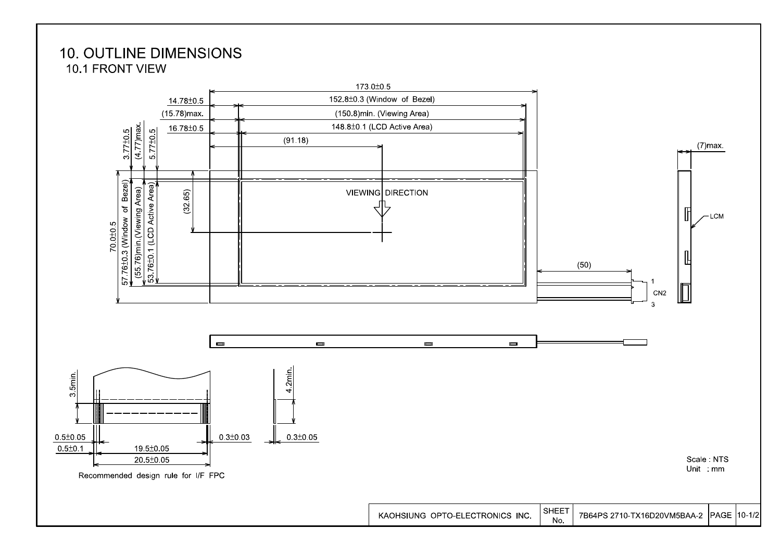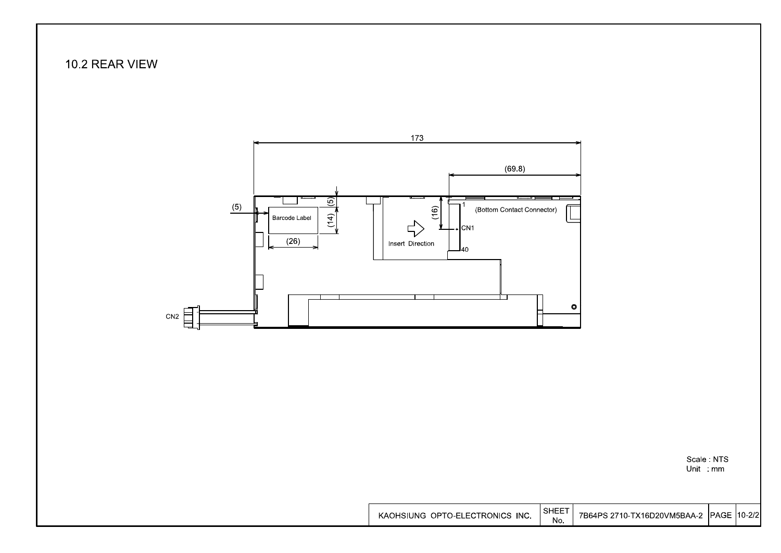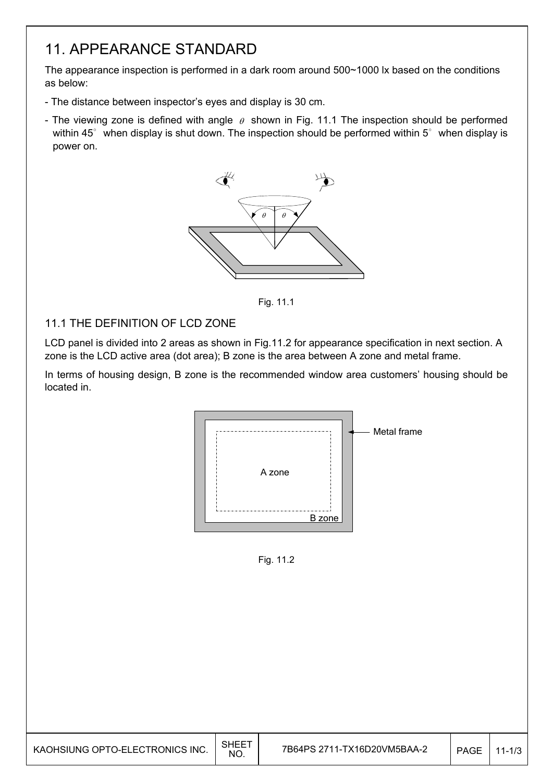### 11. APPEARANCE STANDARD

The appearance inspection is performed in a dark room around 500~1000 lx based on the conditions as below:

- The distance between inspector's eyes and display is 30 cm.
- The viewing zone is defined with angle  $\theta$  shown in Fig. 11.1 The inspection should be performed within 45 $^{\circ}$  when display is shut down. The inspection should be performed within 5 $^{\circ}$  when display is power on.



Fig. 11.1

#### 11.1 THE DEFINITION OF LCD ZONE

LCD panel is divided into 2 areas as shown in Fig.11.2 for appearance specification in next section. A zone is the LCD active area (dot area); B zone is the area between A zone and metal frame.

In terms of housing design, B zone is the recommended window area customers' housing should be located in.



Fig. 11.2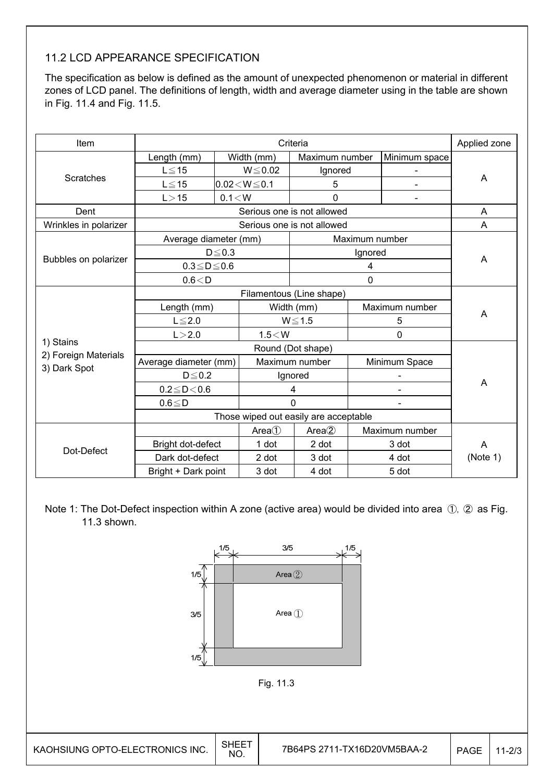#### 11.2 LCD APPEARANCE SPECIFICATION

The specification as below is defined as the amount of unexpected phenomenon or material in different zones of LCD panel. The definitions of length, width and average diameter using in the table are shown in Fig. 11.4 and Fig. 11.5.

| Item                  |                                       |             |                    | Criteria                   |                |                | Applied zone |  |
|-----------------------|---------------------------------------|-------------|--------------------|----------------------------|----------------|----------------|--------------|--|
|                       | Length (mm)                           |             | Width (mm)         | Maximum number             |                | Minimum space  |              |  |
|                       | $L \le 15$                            |             | $W \le 0.02$       | Ignored                    |                |                |              |  |
| <b>Scratches</b>      | $L \leq 15$                           |             | $0.02 < W \le 0.1$ | 5                          |                |                | A            |  |
|                       | 0.1 < W<br>L > 15                     |             |                    | 0                          |                | $\overline{a}$ |              |  |
| Dent                  |                                       |             |                    | Serious one is not allowed |                |                | A            |  |
| Wrinkles in polarizer |                                       |             |                    | Serious one is not allowed |                |                | A            |  |
|                       | Average diameter (mm)                 |             |                    |                            | Maximum number |                |              |  |
|                       |                                       | $D \le 0.3$ |                    |                            | Ignored        |                |              |  |
| Bubbles on polarizer  | $0.3 \leq D \leq 0.6$                 |             |                    |                            | A              |                |              |  |
|                       | 0.6 < D                               |             |                    |                            |                |                |              |  |
|                       |                                       |             |                    |                            |                |                |              |  |
|                       | Length (mm)                           |             |                    | Width (mm)                 |                | Maximum number |              |  |
|                       | $L \leq 2.0$                          |             |                    | $W \le 1.5$                |                | 5              | A            |  |
|                       | L > 2.0                               |             | $1.5<$ W           |                            |                | $\mathbf 0$    |              |  |
| 1) Stains             |                                       |             |                    |                            |                |                |              |  |
| 2) Foreign Materials  | Average diameter (mm)                 |             |                    | Maximum number             | Minimum Space  |                |              |  |
| 3) Dark Spot          | $D \leq 0.2$                          |             |                    | Ignored                    |                |                |              |  |
|                       | $0.2 \le D < 0.6$                     |             |                    | 4                          |                |                | A            |  |
|                       | $0.6 \leq D$                          |             |                    | $\Omega$                   |                |                |              |  |
|                       | Those wiped out easily are acceptable |             |                    |                            |                |                |              |  |
|                       |                                       |             | Area()             | Area(2)                    |                | Maximum number |              |  |
| Dot-Defect            | Bright dot-defect                     |             | 1 dot              | 2 dot                      |                | 3 dot          | A            |  |
|                       | Dark dot-defect                       |             | 2 dot              | 3 dot                      |                | 4 dot          | (Note 1)     |  |
|                       | Bright + Dark point                   |             | 3 dot              | 4 dot                      |                | 5 dot          |              |  |

Note 1: The Dot-Defect inspection within A zone (active area) would be divided into area ①, ② as Fig. 11.3 shown.

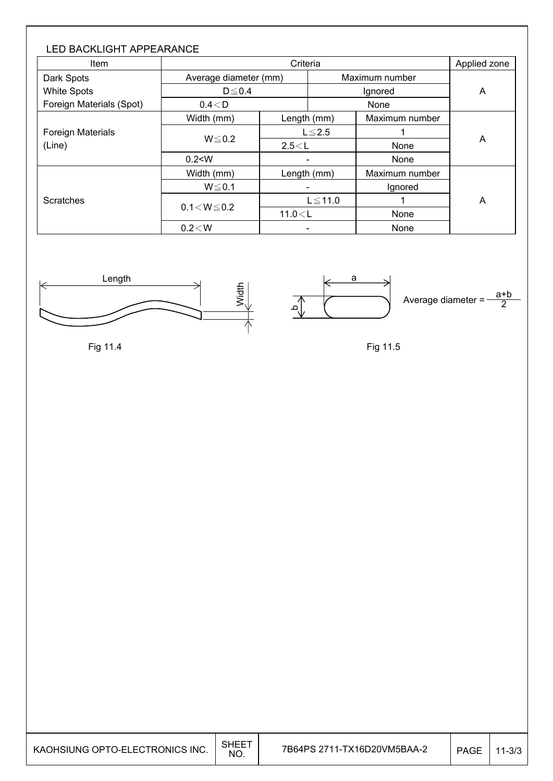| <b>LED BACKLIGHT APPEARANCE</b><br><b>Item</b> |                       | Criteria |              |                |   |  |  |
|------------------------------------------------|-----------------------|----------|--------------|----------------|---|--|--|
| Dark Spots                                     | Average diameter (mm) |          |              | Maximum number |   |  |  |
| <b>White Spots</b>                             | $D \le 0.4$           |          |              | A              |   |  |  |
| Foreign Materials (Spot)                       | $0.4<$ D              |          |              | None           |   |  |  |
|                                                | Width (mm)            |          | Length (mm)  | Maximum number | A |  |  |
| <b>Foreign Materials</b>                       |                       |          | $L \leq 2.5$ |                |   |  |  |
| (Line)                                         | $W \le 0.2$           | 2.5 < L  |              | None           |   |  |  |
|                                                | 0.2 < W               |          |              | None           |   |  |  |
|                                                | Width (mm)            |          | Length (mm)  | Maximum number |   |  |  |
|                                                | $W \le 0.1$           |          |              | Ignored        |   |  |  |
| Scratches                                      |                       |          | $L \le 11.0$ |                | A |  |  |
|                                                | $0.1 < W \le 0.2$     | 11.0 < L |              | None           |   |  |  |
|                                                | 0.2 < W               |          |              | None           |   |  |  |









Fig 11.5

| <b>SHEET</b><br>7B64PS 2711-TX16D20VM5BAA-2<br>KAOHSIUNG OPTO-ELECTRONICS INC.<br><b>PAGE</b><br>NO. |  |  |  | $11 - 3/3$ |
|------------------------------------------------------------------------------------------------------|--|--|--|------------|
|------------------------------------------------------------------------------------------------------|--|--|--|------------|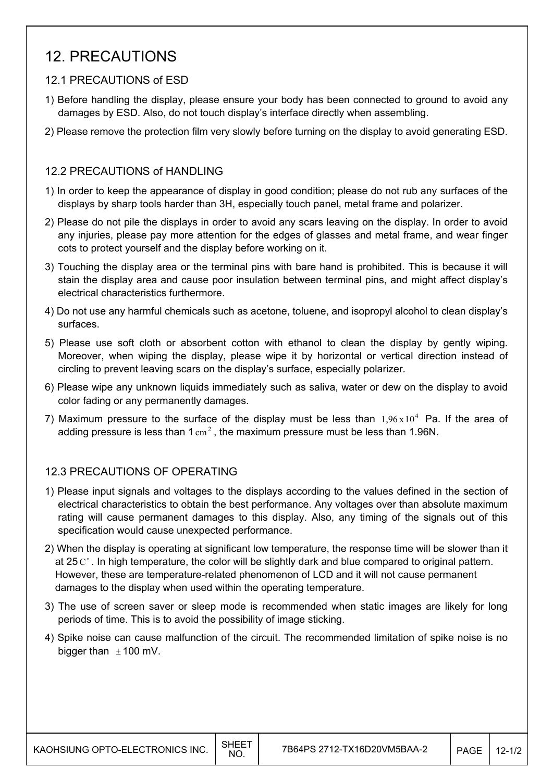### 12. PRECAUTIONS

#### 12.1 PRECAUTIONS of ESD

- 1) Before handling the display, please ensure your body has been connected to ground to avoid any damages by ESD. Also, do not touch display's interface directly when assembling.
- 2) Please remove the protection film very slowly before turning on the display to avoid generating ESD.

#### 12.2 PRECAUTIONS of HANDLING

- 1) In order to keep the appearance of display in good condition; please do not rub any surfaces of the displays by sharp tools harder than 3H, especially touch panel, metal frame and polarizer.
- 2) Please do not pile the displays in order to avoid any scars leaving on the display. In order to avoid any injuries, please pay more attention for the edges of glasses and metal frame, and wear finger cots to protect yourself and the display before working on it.
- 3) Touching the display area or the terminal pins with bare hand is prohibited. This is because it will stain the display area and cause poor insulation between terminal pins, and might affect display's electrical characteristics furthermore.
- 4) Do not use any harmful chemicals such as acetone, toluene, and isopropyl alcohol to clean display's surfaces.
- 5) Please use soft cloth or absorbent cotton with ethanol to clean the display by gently wiping. Moreover, when wiping the display, please wipe it by horizontal or vertical direction instead of circling to prevent leaving scars on the display's surface, especially polarizer.
- 6) Please wipe any unknown liquids immediately such as saliva, water or dew on the display to avoid color fading or any permanently damages.
- 7) Maximum pressure to the surface of the display must be less than  $1.96 \times 10^4$  Pa. If the area of adding pressure is less than 1  $\text{cm}^2$ . the maximum pressure must be less than 1.96N.

#### 12.3 PRECAUTIONS OF OPERATING

- 1) Please input signals and voltages to the displays according to the values defined in the section of electrical characteristics to obtain the best performance. Any voltages over than absolute maximum rating will cause permanent damages to this display. Also, any timing of the signals out of this specification would cause unexpected performance.
- 2) When the display is operating at significant low temperature, the response time will be slower than it at 25  $\mathrm{C}^{\circ}$ . In high temperature, the color will be slightly dark and blue compared to original pattern. However, these are temperature-related phenomenon of LCD and it will not cause permanent damages to the display when used within the operating temperature.
- 3) The use of screen saver or sleep mode is recommended when static images are likely for long periods of time. This is to avoid the possibility of image sticking.
- 4) Spike noise can cause malfunction of the circuit. The recommended limitation of spike noise is no bigger than  $\pm$  100 mV.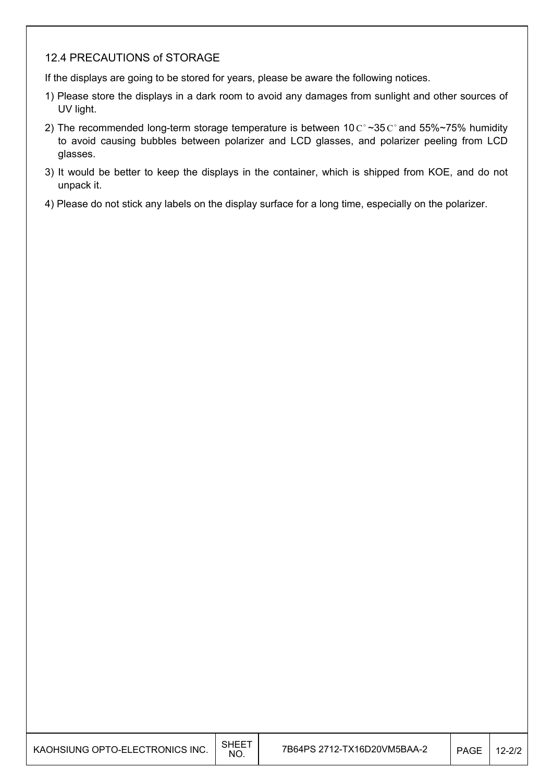#### 12.4 PRECAUTIONS of STORAGE

If the displays are going to be stored for years, please be aware the following notices.

- 1) Please store the displays in a dark room to avoid any damages from sunlight and other sources of UV light.
- 2) The recommended long-term storage temperature is between 10  $C^{\circ}$  ~35  $C^{\circ}$  and 55%~75% humidity to avoid causing bubbles between polarizer and LCD glasses, and polarizer peeling from LCD glasses.
- 3) It would be better to keep the displays in the container, which is shipped from KOE, and do not unpack it.
- 4) Please do not stick any labels on the display surface for a long time, especially on the polarizer.

| KAOHSIUNG OPTO-ELECTRONICS INC. | <b>SHEET</b><br>NO. | 7B64PS 2712-TX16D20VM5BAA-2 | <b>PAGE</b> | $12 - 2/2$ |
|---------------------------------|---------------------|-----------------------------|-------------|------------|